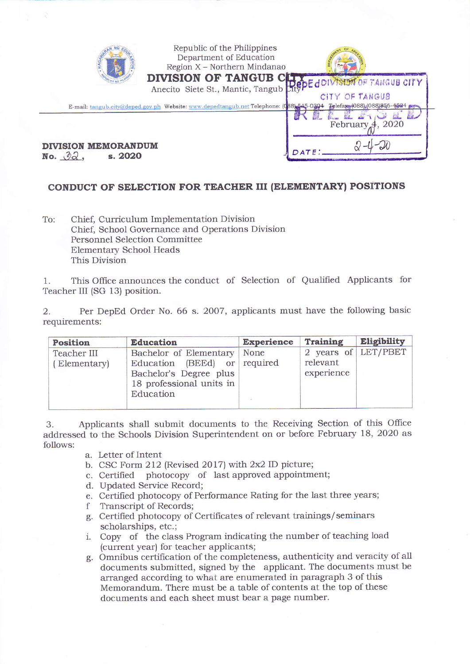| Republic of the Philippines<br>Department of Education<br>Region X - Northern Mindanao<br><b>DIVISION OF TANGUB CLIVE CONTROL TANGUB CITY</b><br>Anecito Siete St., Mantic, Tangub Right downside of TANGUB CITY | CITY OF TANGUB                                   |
|------------------------------------------------------------------------------------------------------------------------------------------------------------------------------------------------------------------|--------------------------------------------------|
| E-mail: tangub.city@deped.gov.ph Website: www.depedtangub.net Telephone: (088) 545-0304<br><b>DIVISION MEMORANDUM</b><br>No. $\partial \partial$ .<br>s. 2020                                                    | Telefaxy(088) (088) 856-4524<br>February 4, 2020 |

## CONDUCT OF SELECTION FOR TEACHER III (ELEMENTARY) POSITIONS

To: Chief, Curriculum Implementation Division Chief, School Governance and Operations Division **Personnel Selection Committee Elementary School Heads** This Division

This Office announces the conduct of Selection of Qualified Applicants for 1. Teacher III (SG 13) position.

Per DepEd Order No. 66 s. 2007, applicants must have the following basic 2. requirements:

| Position                    | <b>Education</b>                                                                                                          | <b>Experience</b> | Training                                      | Eligibility |
|-----------------------------|---------------------------------------------------------------------------------------------------------------------------|-------------------|-----------------------------------------------|-------------|
| Teacher III<br>(Elementary) | Bachelor of Elementary<br>Education (BEEd) or required<br>Bachelor's Degree plus<br>18 professional units in<br>Education | None              | 2 years of LET/PBET<br>relevant<br>experience |             |

Applicants shall submit documents to the Receiving Section of this Office 3. addressed to the Schools Division Superintendent on or before February 18, 2020 as follows:

a. Letter of Intent

b. CSC Form 212 (Revised 2017) with 2x2 ID picture;

c. Certified photocopy of last approved appointment;

- d. Updated Service Record;
- e. Certified photocopy of Performance Rating for the last three years;
- Transcript of Records; f
- g. Certified photocopy of Certificates of relevant trainings/seminars scholarships, etc.;
- i. Copy of the class Program indicating the number of teaching load (current year) for teacher applicants;
- g. Omnibus certification of the completeness, authenticity and veracity of all documents submitted, signed by the applicant. The documents must be arranged according to what are enumerated in paragraph 3 of this Memorandum. There must be a table of contents at the top of these documents and each sheet must bear a page number.